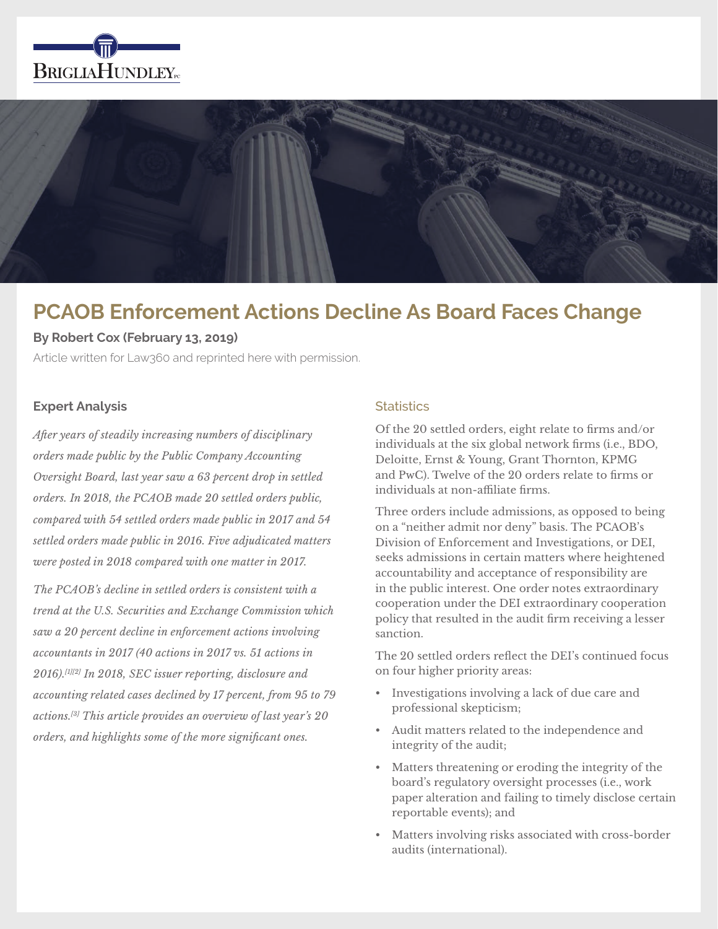



# **PCAOB Enforcement Actions Decline As Board Faces Change**

## **By Robert Cox (February 13, 2019)**

Article written for Law360 and reprinted here with permission.

## **Expert Analysis**

*After years of steadily increasing numbers of disciplinary orders made public by the Public Company Accounting Oversight Board, last year saw a 63 percent drop in settled orders. In 2018, the PCAOB made 20 settled orders public, compared with 54 settled orders made public in 2017 and 54 settled orders made public in 2016. Five adjudicated matters were posted in 2018 compared with one matter in 2017.*

*The PCAOB's decline in settled orders is consistent with a trend at the U.S. Securities and Exchange Commission which saw a 20 percent decline in enforcement actions involving accountants in 2017 (40 actions in 2017 vs. 51 actions in 2016).[1][2] In 2018, SEC issuer reporting, disclosure and accounting related cases declined by 17 percent, from 95 to 79 actions.[3] This article provides an overview of last year's 20 orders, and highlights some of the more significant ones.*

## **Statistics**

Of the 20 settled orders, eight relate to firms and/or individuals at the six global network firms (i.e., BDO, Deloitte, Ernst & Young, Grant Thornton, KPMG and PwC). Twelve of the 20 orders relate to firms or individuals at non-affiliate firms.

Three orders include admissions, as opposed to being on a "neither admit nor deny" basis. The PCAOB's Division of Enforcement and Investigations, or DEI, seeks admissions in certain matters where heightened accountability and acceptance of responsibility are in the public interest. One order notes extraordinary cooperation under the DEI extraordinary cooperation policy that resulted in the audit firm receiving a lesser sanction.

The 20 settled orders reflect the DEI's continued focus on four higher priority areas:

- Investigations involving a lack of due care and professional skepticism;
- Audit matters related to the independence and integrity of the audit;
- Matters threatening or eroding the integrity of the board's regulatory oversight processes (i.e., work paper alteration and failing to timely disclose certain reportable events); and
- Matters involving risks associated with cross-border audits (international).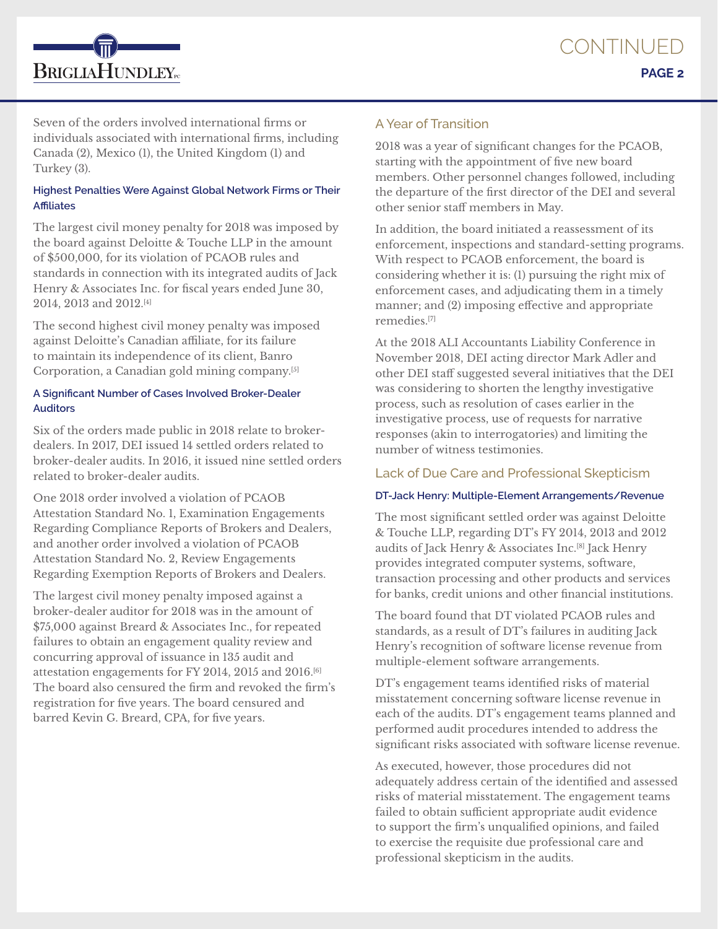

Seven of the orders involved international firms or individuals associated with international firms, including Canada (2), Mexico (1), the United Kingdom (1) and Turkey (3).

## **Highest Penalties Were Against Global Network Firms or Their Affiliates**

The largest civil money penalty for 2018 was imposed by the board against Deloitte & Touche LLP in the amount of \$500,000, for its violation of PCAOB rules and standards in connection with its integrated audits of Jack Henry & Associates Inc. for fiscal years ended June 30, 2014, 2013 and 2012.[4]

The second highest civil money penalty was imposed against Deloitte's Canadian affiliate, for its failure to maintain its independence of its client, Banro Corporation, a Canadian gold mining company.[5]

## **A Significant Number of Cases Involved Broker-Dealer Auditors**

Six of the orders made public in 2018 relate to brokerdealers. In 2017, DEI issued 14 settled orders related to broker-dealer audits. In 2016, it issued nine settled orders related to broker-dealer audits.

One 2018 order involved a violation of PCAOB Attestation Standard No. 1, Examination Engagements Regarding Compliance Reports of Brokers and Dealers, and another order involved a violation of PCAOB Attestation Standard No. 2, Review Engagements Regarding Exemption Reports of Brokers and Dealers.

The largest civil money penalty imposed against a broker-dealer auditor for 2018 was in the amount of \$75,000 against Breard & Associates Inc., for repeated failures to obtain an engagement quality review and concurring approval of issuance in 135 audit and attestation engagements for FY 2014, 2015 and 2016.[6] The board also censured the firm and revoked the firm's registration for five years. The board censured and barred Kevin G. Breard, CPA, for five years.

# A Year of Transition

2018 was a year of significant changes for the PCAOB, starting with the appointment of five new board members. Other personnel changes followed, including the departure of the first director of the DEI and several other senior staff members in May.

In addition, the board initiated a reassessment of its enforcement, inspections and standard-setting programs. With respect to PCAOB enforcement, the board is considering whether it is: (1) pursuing the right mix of enforcement cases, and adjudicating them in a timely manner; and (2) imposing effective and appropriate remedies.[7]

At the 2018 ALI Accountants Liability Conference in November 2018, DEI acting director Mark Adler and other DEI staff suggested several initiatives that the DEI was considering to shorten the lengthy investigative process, such as resolution of cases earlier in the investigative process, use of requests for narrative responses (akin to interrogatories) and limiting the number of witness testimonies.

# Lack of Due Care and Professional Skepticism

## **DT-Jack Henry: Multiple-Element Arrangements/Revenue**

The most significant settled order was against Deloitte & Touche LLP, regarding DT's FY 2014, 2013 and 2012 audits of Jack Henry & Associates Inc.[8] Jack Henry provides integrated computer systems, software, transaction processing and other products and services for banks, credit unions and other financial institutions.

The board found that DT violated PCAOB rules and standards, as a result of DT's failures in auditing Jack Henry's recognition of software license revenue from multiple-element software arrangements.

DT's engagement teams identified risks of material misstatement concerning software license revenue in each of the audits. DT's engagement teams planned and performed audit procedures intended to address the significant risks associated with software license revenue.

As executed, however, those procedures did not adequately address certain of the identified and assessed risks of material misstatement. The engagement teams failed to obtain sufficient appropriate audit evidence to support the firm's unqualified opinions, and failed to exercise the requisite due professional care and professional skepticism in the audits.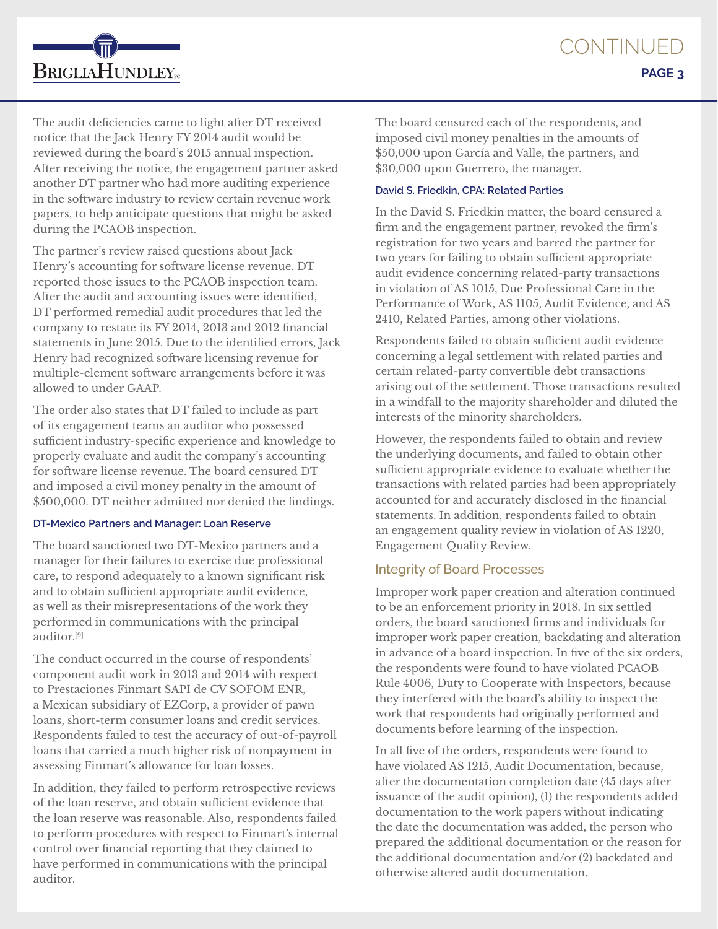The audit deficiencies came to light after DT received notice that the Jack Henry FY 2014 audit would be reviewed during the board's 2015 annual inspection. After receiving the notice, the engagement partner asked another DT partner who had more auditing experience in the software industry to review certain revenue work papers, to help anticipate questions that might be asked during the PCAOB inspection.

The partner's review raised questions about Jack Henry's accounting for software license revenue. DT reported those issues to the PCAOB inspection team. After the audit and accounting issues were identified, DT performed remedial audit procedures that led the company to restate its FY 2014, 2013 and 2012 financial statements in June 2015. Due to the identified errors, Jack Henry had recognized software licensing revenue for multiple-element software arrangements before it was allowed to under GAAP.

The order also states that DT failed to include as part of its engagement teams an auditor who possessed sufficient industry-specific experience and knowledge to properly evaluate and audit the company's accounting for software license revenue. The board censured DT and imposed a civil money penalty in the amount of \$500,000. DT neither admitted nor denied the findings.

#### **DT-Mexico Partners and Manager: Loan Reserve**

The board sanctioned two DT-Mexico partners and a manager for their failures to exercise due professional care, to respond adequately to a known significant risk and to obtain sufficient appropriate audit evidence, as well as their misrepresentations of the work they performed in communications with the principal auditor.[9]

The conduct occurred in the course of respondents' component audit work in 2013 and 2014 with respect to Prestaciones Finmart SAPI de CV SOFOM ENR, a Mexican subsidiary of EZCorp, a provider of pawn loans, short-term consumer loans and credit services. Respondents failed to test the accuracy of out-of-payroll loans that carried a much higher risk of nonpayment in assessing Finmart's allowance for loan losses.

In addition, they failed to perform retrospective reviews of the loan reserve, and obtain sufficient evidence that the loan reserve was reasonable. Also, respondents failed to perform procedures with respect to Finmart's internal control over financial reporting that they claimed to have performed in communications with the principal auditor.

The board censured each of the respondents, and imposed civil money penalties in the amounts of \$50,000 upon García and Valle, the partners, and \$30,000 upon Guerrero, the manager.

## **David S. Friedkin, CPA: Related Parties**

In the David S. Friedkin matter, the board censured a firm and the engagement partner, revoked the firm's registration for two years and barred the partner for two years for failing to obtain sufficient appropriate audit evidence concerning related-party transactions in violation of AS 1015, Due Professional Care in the Performance of Work, AS 1105, Audit Evidence, and AS 2410, Related Parties, among other violations.

Respondents failed to obtain sufficient audit evidence concerning a legal settlement with related parties and certain related-party convertible debt transactions arising out of the settlement. Those transactions resulted in a windfall to the majority shareholder and diluted the interests of the minority shareholders.

However, the respondents failed to obtain and review the underlying documents, and failed to obtain other sufficient appropriate evidence to evaluate whether the transactions with related parties had been appropriately accounted for and accurately disclosed in the financial statements. In addition, respondents failed to obtain an engagement quality review in violation of AS 1220, Engagement Quality Review.

## Integrity of Board Processes

Improper work paper creation and alteration continued to be an enforcement priority in 2018. In six settled orders, the board sanctioned firms and individuals for improper work paper creation, backdating and alteration in advance of a board inspection. In five of the six orders, the respondents were found to have violated PCAOB Rule 4006, Duty to Cooperate with Inspectors, because they interfered with the board's ability to inspect the work that respondents had originally performed and documents before learning of the inspection.

In all five of the orders, respondents were found to have violated AS 1215, Audit Documentation, because, after the documentation completion date (45 days after issuance of the audit opinion), (1) the respondents added documentation to the work papers without indicating the date the documentation was added, the person who prepared the additional documentation or the reason for the additional documentation and/or (2) backdated and otherwise altered audit documentation.

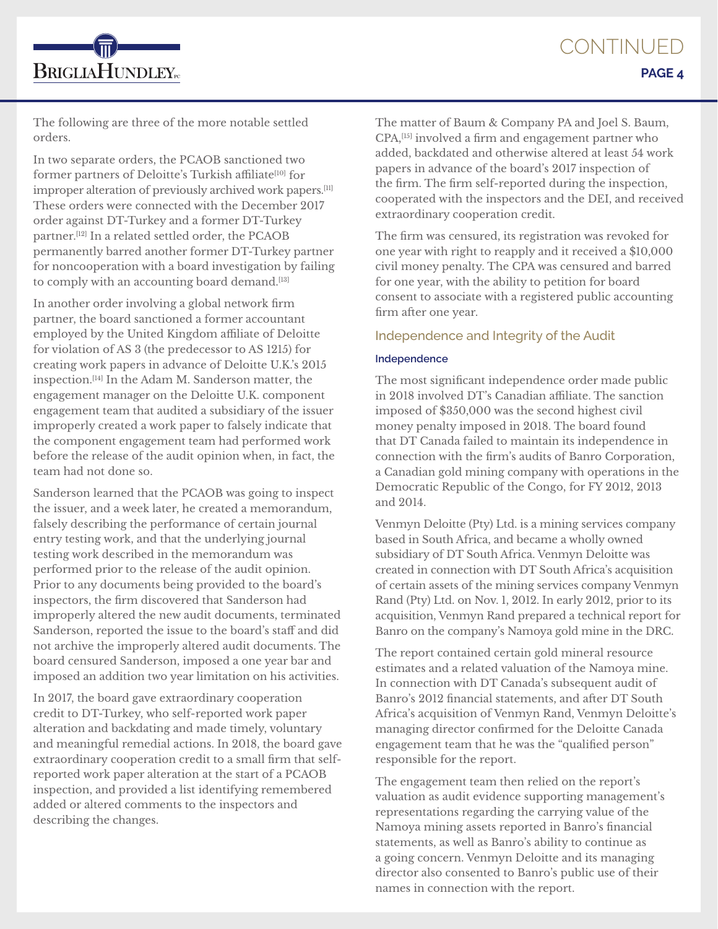**BRIGLIAHUNDLEY**<sub>rc</sub>

The following are three of the more notable settled orders.

In two separate orders, the PCAOB sanctioned two former partners of Deloitte's Turkish affiliate<sup>[10]</sup> for improper alteration of previously archived work papers.[11] These orders were connected with the December 2017 order against DT-Turkey and a former DT-Turkey partner.[12] In a related settled order, the PCAOB permanently barred another former DT-Turkey partner for noncooperation with a board investigation by failing to comply with an accounting board demand.<sup>[13]</sup>

In another order involving a global network firm partner, the board sanctioned a former accountant employed by the United Kingdom affiliate of Deloitte for violation of AS 3 (the predecessor to AS 1215) for creating work papers in advance of Deloitte U.K.'s 2015 inspection.[14] In the Adam M. Sanderson matter, the engagement manager on the Deloitte U.K. component engagement team that audited a subsidiary of the issuer improperly created a work paper to falsely indicate that the component engagement team had performed work before the release of the audit opinion when, in fact, the team had not done so.

Sanderson learned that the PCAOB was going to inspect the issuer, and a week later, he created a memorandum, falsely describing the performance of certain journal entry testing work, and that the underlying journal testing work described in the memorandum was performed prior to the release of the audit opinion. Prior to any documents being provided to the board's inspectors, the firm discovered that Sanderson had improperly altered the new audit documents, terminated Sanderson, reported the issue to the board's staff and did not archive the improperly altered audit documents. The board censured Sanderson, imposed a one year bar and imposed an addition two year limitation on his activities.

In 2017, the board gave extraordinary cooperation credit to DT-Turkey, who self-reported work paper alteration and backdating and made timely, voluntary and meaningful remedial actions. In 2018, the board gave extraordinary cooperation credit to a small firm that selfreported work paper alteration at the start of a PCAOB inspection, and provided a list identifying remembered added or altered comments to the inspectors and describing the changes.

The matter of Baum & Company PA and Joel S. Baum, CPA,[15] involved a firm and engagement partner who added, backdated and otherwise altered at least 54 work papers in advance of the board's 2017 inspection of the firm. The firm self-reported during the inspection, cooperated with the inspectors and the DEI, and received extraordinary cooperation credit.

The firm was censured, its registration was revoked for one year with right to reapply and it received a \$10,000 civil money penalty. The CPA was censured and barred for one year, with the ability to petition for board consent to associate with a registered public accounting firm after one year.

# Independence and Integrity of the Audit

## **Independence**

The most significant independence order made public in 2018 involved DT's Canadian affiliate. The sanction imposed of \$350,000 was the second highest civil money penalty imposed in 2018. The board found that DT Canada failed to maintain its independence in connection with the firm's audits of Banro Corporation, a Canadian gold mining company with operations in the Democratic Republic of the Congo, for FY 2012, 2013 and 2014.

Venmyn Deloitte (Pty) Ltd. is a mining services company based in South Africa, and became a wholly owned subsidiary of DT South Africa. Venmyn Deloitte was created in connection with DT South Africa's acquisition of certain assets of the mining services company Venmyn Rand (Pty) Ltd. on Nov. 1, 2012. In early 2012, prior to its acquisition, Venmyn Rand prepared a technical report for Banro on the company's Namoya gold mine in the DRC.

The report contained certain gold mineral resource estimates and a related valuation of the Namoya mine. In connection with DT Canada's subsequent audit of Banro's 2012 financial statements, and after DT South Africa's acquisition of Venmyn Rand, Venmyn Deloitte's managing director confirmed for the Deloitte Canada engagement team that he was the "qualified person" responsible for the report.

The engagement team then relied on the report's valuation as audit evidence supporting management's representations regarding the carrying value of the Namoya mining assets reported in Banro's financial statements, as well as Banro's ability to continue as a going concern. Venmyn Deloitte and its managing director also consented to Banro's public use of their names in connection with the report.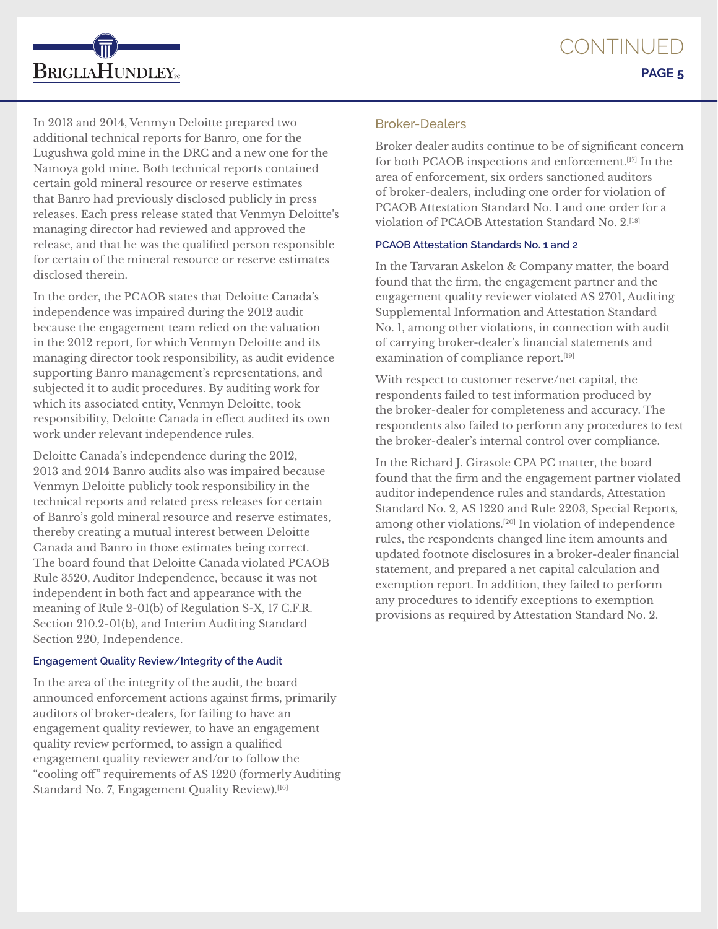In 2013 and 2014, Venmyn Deloitte prepared two additional technical reports for Banro, one for the Lugushwa gold mine in the DRC and a new one for the Namoya gold mine. Both technical reports contained certain gold mineral resource or reserve estimates that Banro had previously disclosed publicly in press releases. Each press release stated that Venmyn Deloitte's managing director had reviewed and approved the release, and that he was the qualified person responsible for certain of the mineral resource or reserve estimates disclosed therein.

**BRIGLIAHUNDLEY**<sub>rc</sub>

In the order, the PCAOB states that Deloitte Canada's independence was impaired during the 2012 audit because the engagement team relied on the valuation in the 2012 report, for which Venmyn Deloitte and its managing director took responsibility, as audit evidence supporting Banro management's representations, and subjected it to audit procedures. By auditing work for which its associated entity, Venmyn Deloitte, took responsibility, Deloitte Canada in effect audited its own work under relevant independence rules.

Deloitte Canada's independence during the 2012, 2013 and 2014 Banro audits also was impaired because Venmyn Deloitte publicly took responsibility in the technical reports and related press releases for certain of Banro's gold mineral resource and reserve estimates, thereby creating a mutual interest between Deloitte Canada and Banro in those estimates being correct. The board found that Deloitte Canada violated PCAOB Rule 3520, Auditor Independence, because it was not independent in both fact and appearance with the meaning of Rule 2-01(b) of Regulation S-X, 17 C.F.R. Section 210.2-01(b), and Interim Auditing Standard Section 220, Independence.

#### **Engagement Quality Review/Integrity of the Audit**

In the area of the integrity of the audit, the board announced enforcement actions against firms, primarily auditors of broker-dealers, for failing to have an engagement quality reviewer, to have an engagement quality review performed, to assign a qualified engagement quality reviewer and/or to follow the "cooling off" requirements of AS 1220 (formerly Auditing Standard No. 7, Engagement Quality Review).<sup>[16]</sup>

## Broker-Dealers

Broker dealer audits continue to be of significant concern for both PCAOB inspections and enforcement.[17] In the area of enforcement, six orders sanctioned auditors of broker-dealers, including one order for violation of PCAOB Attestation Standard No. 1 and one order for a violation of PCAOB Attestation Standard No. 2.[18]

#### **PCAOB Attestation Standards No. 1 and 2**

In the Tarvaran Askelon & Company matter, the board found that the firm, the engagement partner and the engagement quality reviewer violated AS 2701, Auditing Supplemental Information and Attestation Standard No. 1, among other violations, in connection with audit of carrying broker-dealer's financial statements and examination of compliance report.<sup>[19]</sup>

With respect to customer reserve/net capital, the respondents failed to test information produced by the broker-dealer for completeness and accuracy. The respondents also failed to perform any procedures to test the broker-dealer's internal control over compliance.

In the Richard J. Girasole CPA PC matter, the board found that the firm and the engagement partner violated auditor independence rules and standards, Attestation Standard No. 2, AS 1220 and Rule 2203, Special Reports, among other violations.[20] In violation of independence rules, the respondents changed line item amounts and updated footnote disclosures in a broker-dealer financial statement, and prepared a net capital calculation and exemption report. In addition, they failed to perform any procedures to identify exceptions to exemption provisions as required by Attestation Standard No. 2.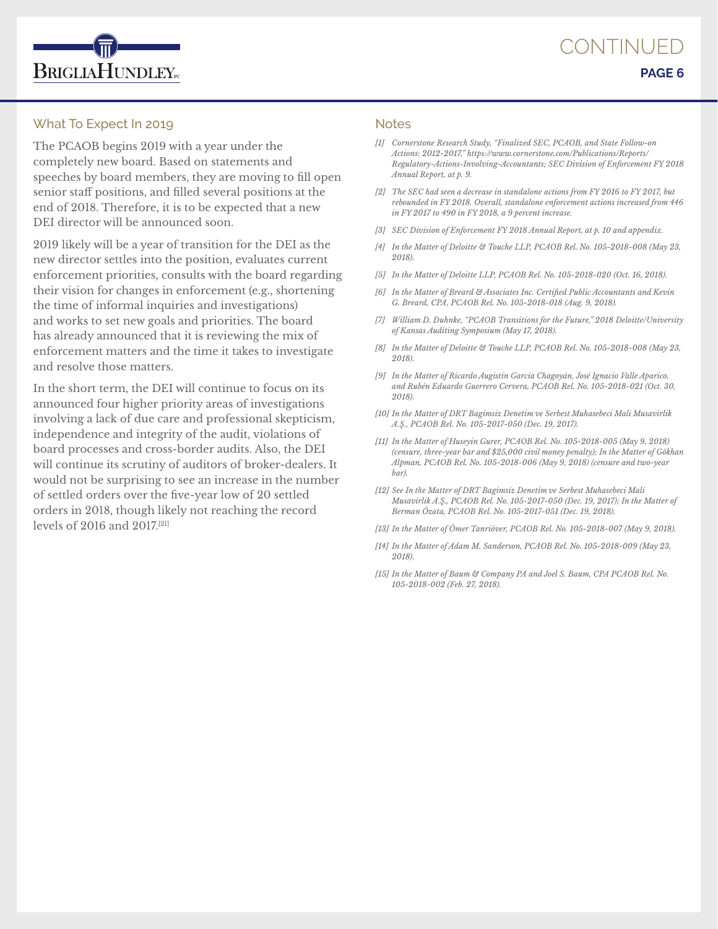

## What To Expect In 2019

The PCAOB begins 2019 with a year under the completely new board. Based on statements and speeches by board members, they are moving to fill open senior staff positions, and filled several positions at the end of 2018. Therefore, it is to be expected that a new DEI director will be announced soon.

2019 likely will be a year of transition for the DEI as the new director settles into the position, evaluates current enforcement priorities, consults with the board regarding their vision for changes in enforcement (e.g., shortening the time of informal inquiries and investigations) and works to set new goals and priorities. The board has already announced that it is reviewing the mix of enforcement matters and the time it takes to investigate and resolve those matters.

In the short term, the DEI will continue to focus on its announced four higher priority areas of investigations involving a lack of due care and professional skepticism, independence and integrity of the audit, violations of board processes and cross-border audits. Also, the DEI will continue its scrutiny of auditors of broker-dealers. It would not be surprising to see an increase in the number of settled orders over the five-year low of 20 settled orders in 2018, though likely not reaching the record levels of 2016 and 2017.[21]

#### **Notes**

- *[1] Cornerstone Research Study, "Finalized SEC, PCAOB, and State Follow-on Actions: 2012-2017," https://www.cornerstone.com/Publications/Reports/ Regulatory-Actions-Involving-Accountants; SEC Division of Enforcement FY 2018 Annual Report, at p. 9.*
- *[2] The SEC had seen a decrease in standalone actions from FY 2016 to FY 2017, but rebounded in FY 2018. Overall, standalone enforcement actions increased from 446 in FY 2017 to 490 in FY 2018, a 9 percent increase.*
- *[3] SEC Division of Enforcement FY 2018 Annual Report, at p. 10 and appendix.*
- *[4] In the Matter of Deloitte & Touche LLP, PCAOB Rel. No. 105-2018-008 (May 23, 2018).*
- *[5] In the Matter of Deloitte LLP, PCAOB Rel. No. 105-2018-020 (Oct. 16, 2018).*
- *[6] In the Matter of Breard & Associates Inc. Certified Public Accountants and Kevin G. Breard, CPA, PCAOB Rel. No. 105-2018-018 (Aug. 9, 2018).*
- *[7] William D. Duhnke, "PCAOB Transitions for the Future," 2018 Deloitte/University of Kansas Auditing Symposium (May 17, 2018).*
- *[8] In the Matter of Deloitte & Touche LLP, PCAOB Rel. No. 105-2018-008 (May 23, 2018).*
- *[9] In the Matter of Ricardo Augistín García Chagoyán, José Ignacio Valle Aparico, and Rubén Eduardo Guerrero Cervera, PCAOB Rel. No. 105-2018-021 (Oct. 30, 2018).*
- *[10] In the Matter of DRT Bagimsiz Denetim ve Serbest Muhasebeci Mali Musavirlik A.Ş., PCAOB Rel. No. 105-2017-050 (Dec. 19, 2017).*
- *[11] In the Matter of Huseyin Gurer, PCAOB Rel. No. 105-2018-005 (May 9, 2018) (censure, three-year bar and \$25,000 civil money penalty); In the Matter of Gŏkhan Alpman, PCAOB Rel. No. 105-2018-006 (May 9, 2018) (censure and two-year bar).*
- *[12] See In the Matter of DRT Bagimsiz Denetim ve Serbest Muhasebeci Mali Musavirlik A.Ş., PCAOB Rel. No. 105-2017-050 (Dec. 19, 2017); In the Matter of Berman Ŏzata, PCAOB Rel. No. 105-2017-051 (Dec. 19, 2018).*
- *[13] In the Matter of Ŏmer Tanriŏver, PCAOB Rel. No. 105-2018-007 (May 9, 2018).*
- *[14] In the Matter of Adam M. Sanderson, PCAOB Rel. No. 105-2018-009 (May 23, 2018).*
- *[15] In the Matter of Baum & Company PA and Joel S. Baum, CPA PCAOB Rel. No. 105-2018-002 (Feb. 27, 2018).*